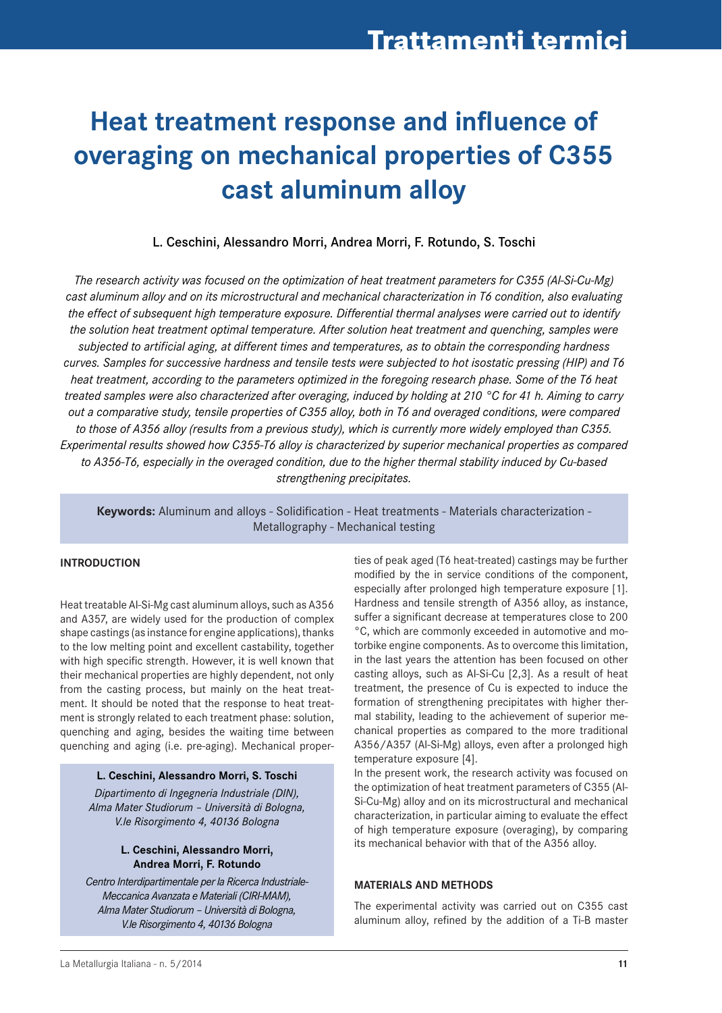# **Heat treatment response and influence of overaging on mechanical properties of C355 cast aluminum alloy**

L. Ceschini, Alessandro Morri, Andrea Morri, F. Rotundo, S. Toschi

*The research activity was focused on the optimization of heat treatment parameters for C355 (Al-Si-Cu-Mg) cast aluminum alloy and on its microstructural and mechanical characterization in T6 condition, also evaluating the effect of subsequent high temperature exposure. Differential thermal analyses were carried out to identify the solution heat treatment optimal temperature. After solution heat treatment and quenching, samples were subjected to artificial aging, at different times and temperatures, as to obtain the corresponding hardness curves. Samples for successive hardness and tensile tests were subjected to hot isostatic pressing (HIP) and T6 heat treatment, according to the parameters optimized in the foregoing research phase. Some of the T6 heat treated samples were also characterized after overaging, induced by holding at 210 °C for 41 h. Aiming to carry out a comparative study, tensile properties of C355 alloy, both in T6 and overaged conditions, were compared to those of A356 alloy (results from a previous study), which is currently more widely employed than C355. Experimental results showed how C355-T6 alloy is characterized by superior mechanical properties as compared to A356-T6, especially in the overaged condition, due to the higher thermal stability induced by Cu-based strengthening precipitates.*

**Keywords:** Aluminum and alloys - Solidification - Heat treatments - Materials characterization - Metallography - Mechanical testing

## **INtroDuCtIoN**

Heat treatable Al-Si-Mg cast aluminum alloys, such as A356 and A357, are widely used for the production of complex shape castings (as instance for engine applications), thanks to the low melting point and excellent castability, together with high specific strength. However, it is well known that their mechanical properties are highly dependent, not only from the casting process, but mainly on the heat treatment. It should be noted that the response to heat treatment is strongly related to each treatment phase: solution, quenching and aging, besides the waiting time between quenching and aging (i.e. pre-aging). Mechanical proper-

### **L. Ceschini, Alessandro Morri, S. toschi**

*Dipartimento di Ingegneria Industriale (DIN), Alma Mater Studiorum – Università di Bologna, V.le Risorgimento 4, 40136 Bologna*

## **L. Ceschini, Alessandro Morri, Andrea Morri, F. Rotundo**

*Centro Interdipartimentale per la Ricerca Industriale-Meccanica Avanzata e Materiali (CIRI-MAM), Alma Mater Studiorum – Università di Bologna, V.le Risorgimento 4, 40136 Bologna*

ties of peak aged (T6 heat-treated) castings may be further modified by the in service conditions of the component, especially after prolonged high temperature exposure [1]. Hardness and tensile strength of A356 alloy, as instance, suffer a significant decrease at temperatures close to 200 °C, which are commonly exceeded in automotive and motorbike engine components. As to overcome this limitation, in the last years the attention has been focused on other casting alloys, such as Al-Si-Cu [2,3]. As a result of heat treatment, the presence of Cu is expected to induce the formation of strengthening precipitates with higher thermal stability, leading to the achievement of superior mechanical properties as compared to the more traditional A356/A357 (Al-Si-Mg) alloys, even after a prolonged high temperature exposure [4].

In the present work, the research activity was focused on the optimization of heat treatment parameters of C355 (Al-Si-Cu-Mg) alloy and on its microstructural and mechanical characterization, in particular aiming to evaluate the effect of high temperature exposure (overaging), by comparing its mechanical behavior with that of the A356 alloy.

### **MAtErIALS AND MEtHoDS**

The experimental activity was carried out on C355 cast aluminum alloy, refined by the addition of a Ti-B master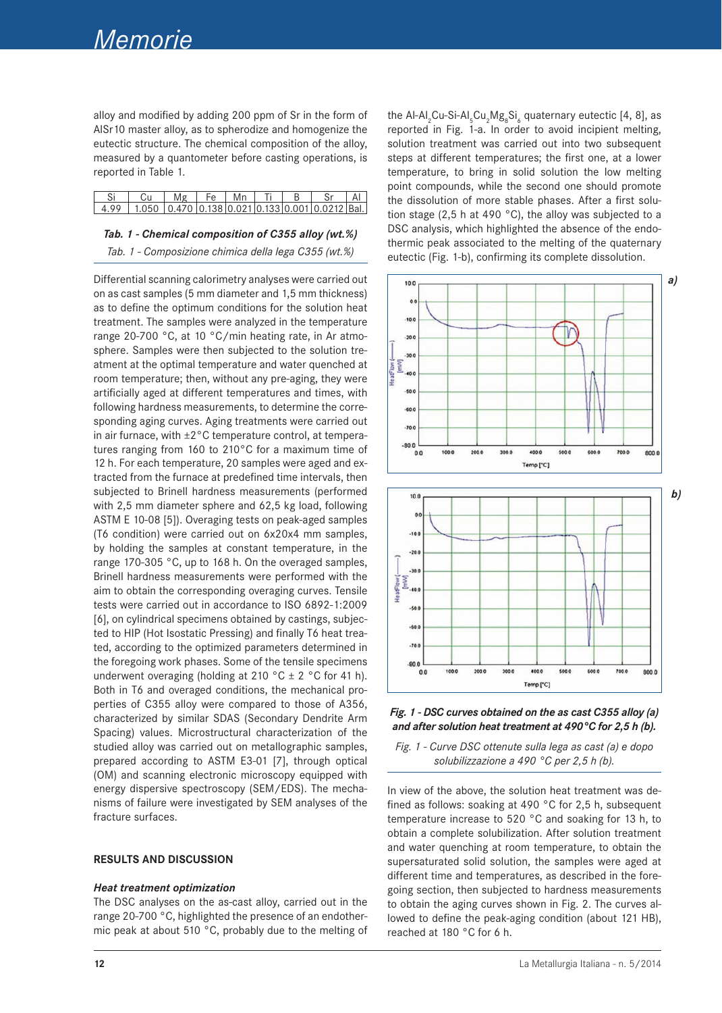alloy and modified by adding 200 ppm of Sr in the form of AlSr10 master alloy, as to spherodize and homogenize the eutectic structure. The chemical composition of the alloy, measured by a quantometer before casting operations, is reported in Table 1.

| i   Cu   Mg   Fe   Mn   Ti   B <sub> </sub>                            |  |  |  |  |
|------------------------------------------------------------------------|--|--|--|--|
| $4.99$   1.050   0.470   0.138   0.021   0.133   0.001   0.0212   Bal. |  |  |  |  |

## *Tab. 1 - Chemical composition of C355 alloy (wt.%) Tab. 1 - Composizione chimica della lega C355 (wt.%)*

Differential scanning calorimetry analyses were carried out on as cast samples (5 mm diameter and 1,5 mm thickness) as to define the optimum conditions for the solution heat treatment. The samples were analyzed in the temperature range 20-700 °C, at 10 °C/min heating rate, in Ar atmosphere. Samples were then subjected to the solution treatment at the optimal temperature and water quenched at room temperature; then, without any pre-aging, they were artificially aged at different temperatures and times, with following hardness measurements, to determine the corresponding aging curves. Aging treatments were carried out in air furnace, with ±2°C temperature control, at temperatures ranging from 160 to 210°C for a maximum time of 12 h. For each temperature, 20 samples were aged and extracted from the furnace at predefined time intervals, then subjected to Brinell hardness measurements (performed with 2,5 mm diameter sphere and 62,5 kg load, following ASTM E 10-08 [5]). Overaging tests on peak-aged samples (T6 condition) were carried out on 6x20x4 mm samples, by holding the samples at constant temperature, in the range 170-305 °C, up to 168 h. On the overaged samples, Brinell hardness measurements were performed with the aim to obtain the corresponding overaging curves. Tensile tests were carried out in accordance to ISO 6892-1:2009 [6], on cylindrical specimens obtained by castings, subjected to HIP (Hot Isostatic Pressing) and finally T6 heat treated, according to the optimized parameters determined in the foregoing work phases. Some of the tensile specimens underwent overaging (holding at 210  $^{\circ}$ C  $\pm$  2  $^{\circ}$ C for 41 h). Both in T6 and overaged conditions, the mechanical properties of C355 alloy were compared to those of A356, characterized by similar SDAS (Secondary Dendrite Arm Spacing) values. Microstructural characterization of the studied alloy was carried out on metallographic samples, prepared according to ASTM E3-01 [7], through optical (OM) and scanning electronic microscopy equipped with energy dispersive spectroscopy (SEM/EDS). The mechanisms of failure were investigated by SEM analyses of the fracture surfaces.

#### **rESuLtS AND DISCuSSIoN**

### *Heat treatment optimization*

The DSC analyses on the as-cast alloy, carried out in the range 20-700 °C, highlighted the presence of an endothermic peak at about 510 °C, probably due to the melting of

the Al-Al<sub>2</sub>Cu-Si-Al<sub>5</sub>Cu<sub>2</sub>Mg<sub>8</sub>Si<sub>6</sub> quaternary eutectic [4, 8], as reported in Fig. 1-a. In order to avoid incipient melting, solution treatment was carried out into two subsequent steps at different temperatures; the first one, at a lower temperature, to bring in solid solution the low melting point compounds, while the second one should promote the dissolution of more stable phases. After a first solution stage (2,5 h at 490  $^{\circ}$ C), the alloy was subjected to a DSC analysis, which highlighted the absence of the endothermic peak associated to the melting of the quaternary eutectic (Fig. 1-b), confirming its complete dissolution.





*Fig. 1 - Curve DSC ottenute sulla lega as cast (a) e dopo solubilizzazione a 490 °C per 2,5 h (b).*

In view of the above, the solution heat treatment was defined as follows: soaking at 490 °C for 2,5 h, subsequent temperature increase to 520 °C and soaking for 13 h, to obtain a complete solubilization. After solution treatment and water quenching at room temperature, to obtain the supersaturated solid solution, the samples were aged at different time and temperatures, as described in the foregoing section, then subjected to hardness measurements to obtain the aging curves shown in Fig. 2. The curves allowed to define the peak-aging condition (about 121 HB), reached at 180 °C for 6 h.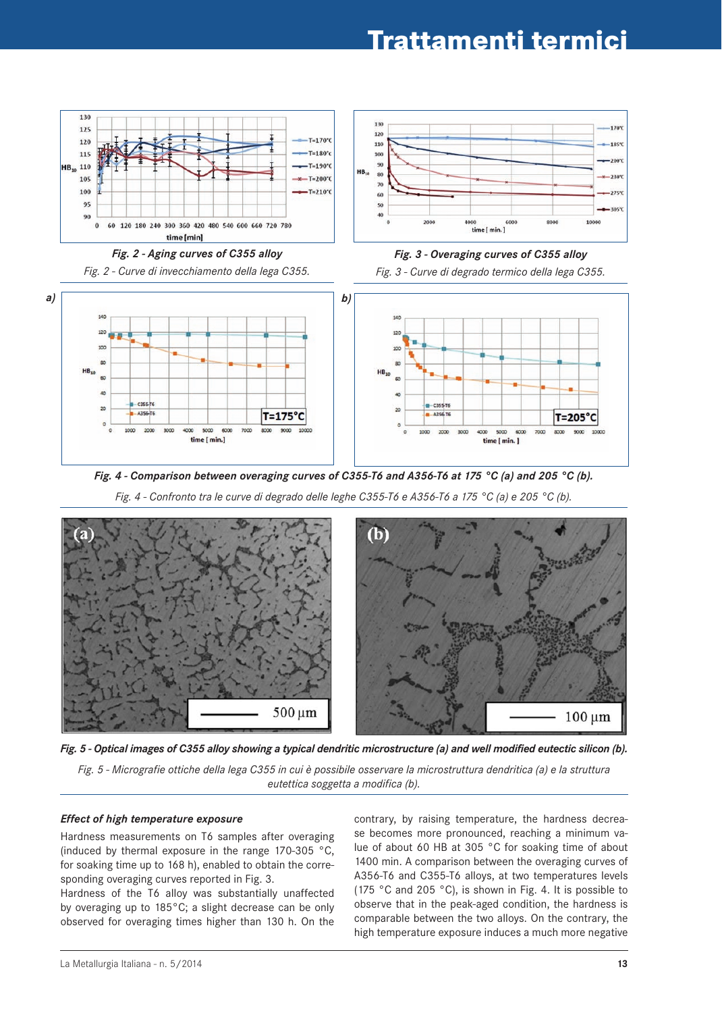## **Trattamenti termici**



*Fig. 2 - Aging curves of C355 alloy*

*Fig. 2 - Curve di invecchiamento della lega C355.*







*Fig. 4 - Comparison between overaging curves of C355-T6 and A356-T6 at 175 °C (a) and 205 °C (b).*

*Fig. 4 - Confronto tra le curve di degrado delle leghe C355-T6 e A356-T6 a 175 °C (a) e 205 °C (b).*





*Fig. 5 - Micrografie ottiche della lega C355 in cui è possibile osservare la microstruttura dendritica (a) e la struttura eutettica soggetta a modifica (b).*

### *Effect of high temperature exposure*

Hardness measurements on T6 samples after overaging (induced by thermal exposure in the range 170-305 °C, for soaking time up to 168 h), enabled to obtain the corresponding overaging curves reported in Fig. 3.

Hardness of the T6 alloy was substantially unaffected by overaging up to 185°C; a slight decrease can be only observed for overaging times higher than 130 h. On the contrary, by raising temperature, the hardness decrease becomes more pronounced, reaching a minimum value of about 60 HB at 305 °C for soaking time of about 1400 min. A comparison between the overaging curves of A356-T6 and C355-T6 alloys, at two temperatures levels (175 °C and 205 °C), is shown in Fig. 4. It is possible to observe that in the peak-aged condition, the hardness is comparable between the two alloys. On the contrary, the high temperature exposure induces a much more negative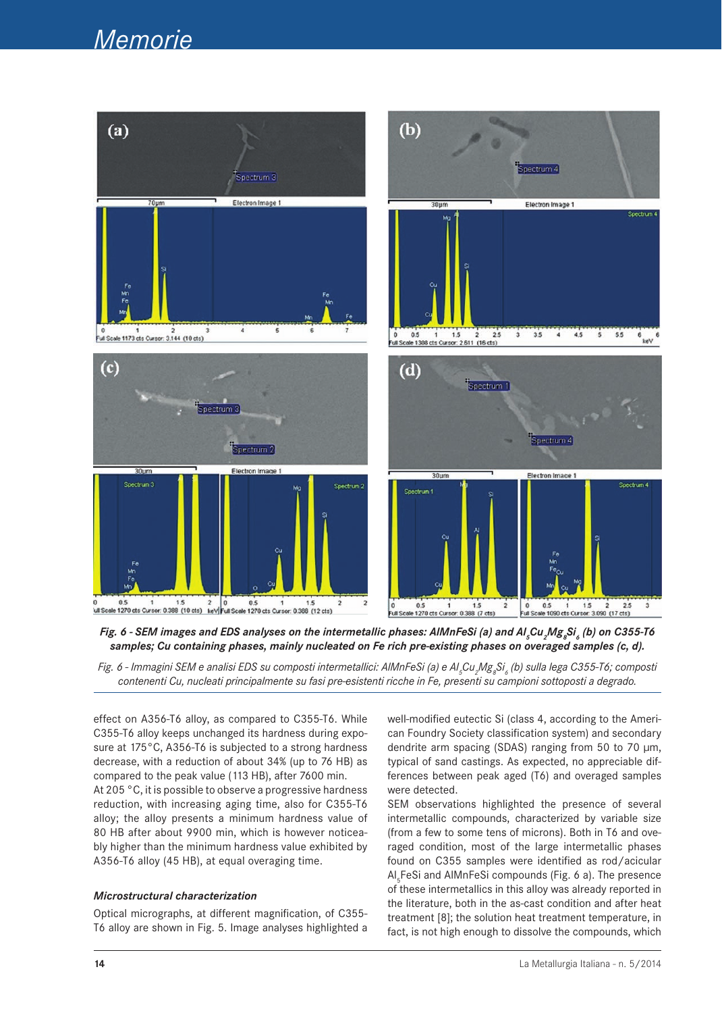## *Memorie*





*Fig. 6 - Immagini SEM e analisi EDS su composti intermetallici: AlMnFeSi (a) e Al<sub>s</sub>Cu<sub>2</sub>Mg<sub>8</sub>Si<sub>6</sub> (b) sulla lega C355-T6; composti contenenti Cu, nucleati principalmente su fasi pre-esistenti ricche in Fe, presenti su campioni sottoposti a degrado.* 

effect on A356-T6 alloy, as compared to C355-T6. While C355-T6 alloy keeps unchanged its hardness during exposure at 175°C, A356-T6 is subjected to a strong hardness decrease, with a reduction of about 34% (up to 76 HB) as compared to the peak value (113 HB), after 7600 min. At 205 °C, it is possible to observe a progressive hardness reduction, with increasing aging time, also for C355-T6 alloy; the alloy presents a minimum hardness value of 80 HB after about 9900 min, which is however noticeably higher than the minimum hardness value exhibited by A356-T6 alloy (45 HB), at equal overaging time.

## *Microstructural characterization*

Optical micrographs, at different magnification, of C355- T6 alloy are shown in Fig. 5. Image analyses highlighted a well-modified eutectic Si (class 4, according to the American Foundry Society classification system) and secondary dendrite arm spacing (SDAS) ranging from 50 to 70 μm, typical of sand castings. As expected, no appreciable differences between peak aged (T6) and overaged samples were detected.

SEM observations highlighted the presence of several intermetallic compounds, characterized by variable size (from a few to some tens of microns). Both in T6 and overaged condition, most of the large intermetallic phases found on C355 samples were identified as rod/acicular Al<sub>5</sub>FeSi and AlMnFeSi compounds (Fig. 6 a). The presence of these intermetallics in this alloy was already reported in the literature, both in the as-cast condition and after heat treatment [8]; the solution heat treatment temperature, in fact, is not high enough to dissolve the compounds, which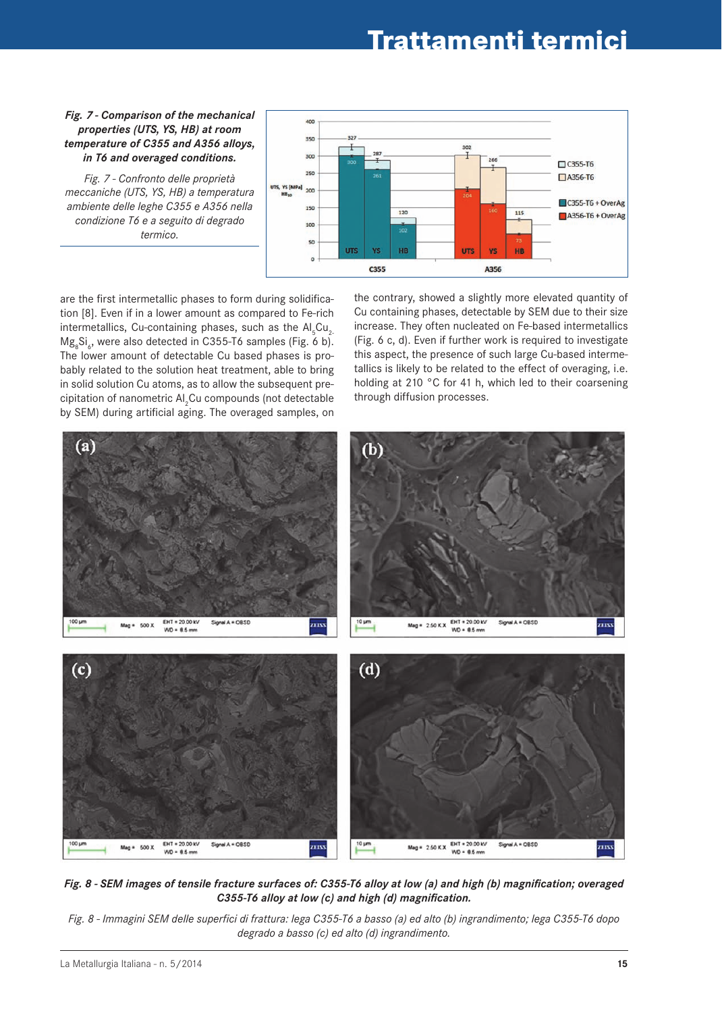## **Trattamenti termici**

### *Fig. 7 - Comparison of the mechanical properties (UTS, YS, HB) at room temperature of C355 and A356 alloys, in T6 and overaged conditions.*

*Fig. 7 - Confronto delle proprietà meccaniche (UTS, YS, HB) a temperatura ambiente delle leghe C355 e A356 nella condizione T6 e a seguito di degrado termico.*



are the first intermetallic phases to form during solidification [8]. Even if in a lower amount as compared to Fe-rich intermetallics, Cu-containing phases, such as the  $\mathsf{Al}_{_5}\mathsf{Cu}_{_2}$ Mg<sub>8</sub>Si<sub>6</sub>, were also detected in C355-T6 samples (Fig. 6 b). The lower amount of detectable Cu based phases is probably related to the solution heat treatment, able to bring in solid solution Cu atoms, as to allow the subsequent precipitation of nanometric Al<sub>2</sub>Cu compounds (not detectable by SEM) during artificial aging. The overaged samples, on

the contrary, showed a slightly more elevated quantity of Cu containing phases, detectable by SEM due to their size increase. They often nucleated on Fe-based intermetallics (Fig. 6 c, d). Even if further work is required to investigate this aspect, the presence of such large Cu-based intermetallics is likely to be related to the effect of overaging, i.e. holding at 210 °C for 41 h, which led to their coarsening through diffusion processes.



*Fig. 8 - SEM images of tensile fracture surfaces of: C355-T6 alloy at low (a) and high (b) magnification; overaged C355-T6 alloy at low (c) and high (d) magnification.*

*Fig. 8 - Immagini SEM delle superfici di frattura: lega C355-T6 a basso (a) ed alto (b) ingrandimento; lega C355-T6 dopo degrado a basso (c) ed alto (d) ingrandimento.*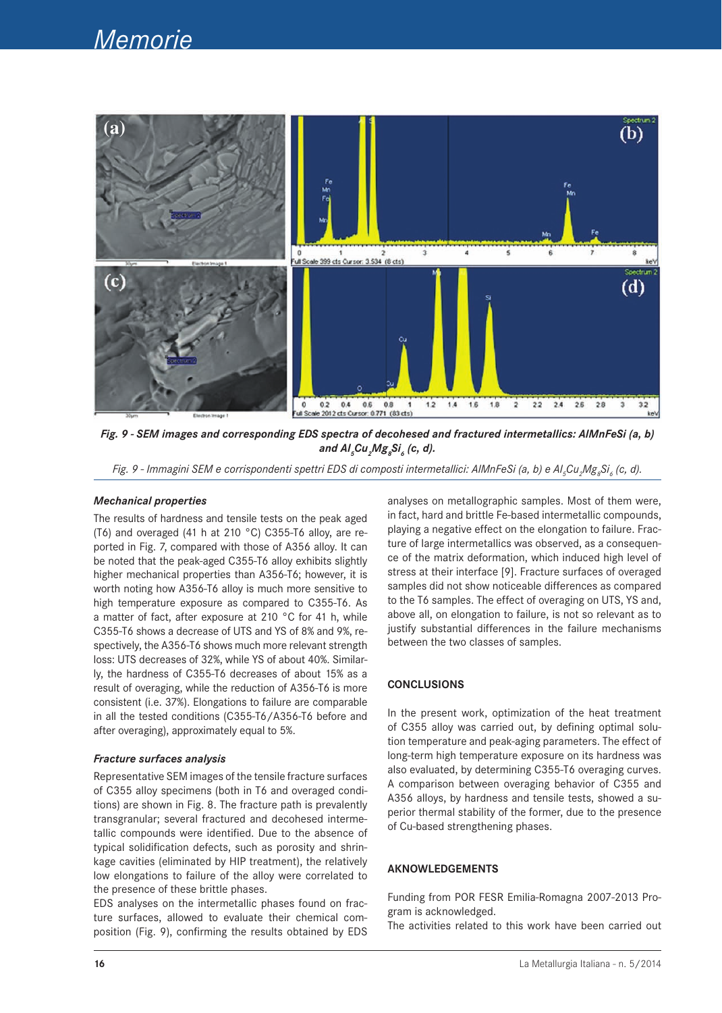

*Fig. 9 - SEM images and corresponding EDS spectra of decohesed and fractured intermetallics: AlMnFeSi (a, b) and Al5 Cu2 Mg8 Si6 (c, d).*

*Fig. 9 - Immagini SEM e corrispondenti spettri EDS di composti intermetallici: AIMnFeSi (a, b) e Al<sub>s</sub>Cu<sub>2</sub>Mg<sub>8</sub>Si<sub>6</sub> (c, d).* 

#### *Mechanical properties*

The results of hardness and tensile tests on the peak aged (T6) and overaged (41 h at 210 °C) C355-T6 alloy, are reported in Fig. 7, compared with those of A356 alloy. It can be noted that the peak-aged C355-T6 alloy exhibits slightly higher mechanical properties than A356-T6; however, it is worth noting how A356-T6 alloy is much more sensitive to high temperature exposure as compared to C355-T6. As a matter of fact, after exposure at 210 °C for 41 h, while C355-T6 shows a decrease of UTS and YS of 8% and 9%, respectively, the A356-T6 shows much more relevant strength loss: UTS decreases of 32%, while YS of about 40%. Similarly, the hardness of C355-T6 decreases of about 15% as a result of overaging, while the reduction of A356-T6 is more consistent (i.e. 37%). Elongations to failure are comparable in all the tested conditions (C355-T6/A356-T6 before and after overaging), approximately equal to 5%.

#### *Fracture surfaces analysis*

Representative SEM images of the tensile fracture surfaces of C355 alloy specimens (both in T6 and overaged conditions) are shown in Fig. 8. The fracture path is prevalently transgranular; several fractured and decohesed intermetallic compounds were identified. Due to the absence of typical solidification defects, such as porosity and shrinkage cavities (eliminated by HIP treatment), the relatively low elongations to failure of the alloy were correlated to the presence of these brittle phases.

EDS analyses on the intermetallic phases found on fracture surfaces, allowed to evaluate their chemical composition (Fig. 9), confirming the results obtained by EDS analyses on metallographic samples. Most of them were, in fact, hard and brittle Fe-based intermetallic compounds, playing a negative effect on the elongation to failure. Fracture of large intermetallics was observed, as a consequence of the matrix deformation, which induced high level of stress at their interface [9]. Fracture surfaces of overaged samples did not show noticeable differences as compared to the T6 samples. The effect of overaging on UTS, YS and, above all, on elongation to failure, is not so relevant as to justify substantial differences in the failure mechanisms between the two classes of samples.

### **CoNCLuSIoNS**

In the present work, optimization of the heat treatment of C355 alloy was carried out, by defining optimal solution temperature and peak-aging parameters. The effect of long-term high temperature exposure on its hardness was also evaluated, by determining C355-T6 overaging curves. A comparison between overaging behavior of C355 and A356 alloys, by hardness and tensile tests, showed a superior thermal stability of the former, due to the presence of Cu-based strengthening phases.

## **AKNowLEDgEMENtS**

Funding from POR FESR Emilia-Romagna 2007-2013 Program is acknowledged.

The activities related to this work have been carried out